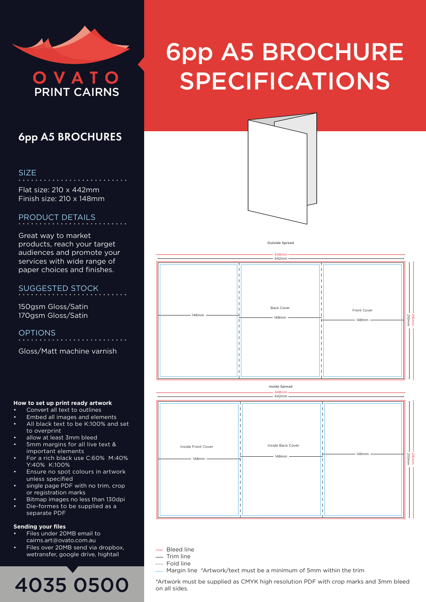# 6pp A5 BROCHURES

### SIZE

Flat size: 210 x 442mm Finish size: 210 x 148mm

## PRODUCT DETAILS

Great way to market products, reach your target audiences and promote your services with wide range of paper choices and finishes.

SUGGESTED STOCK

150gsm Gloss/Satin 170gsm Gloss/Satin

OPTIONS

Gloss/Matt machine varnish

### **How to set up print ready artwork**

- Convert all text to outlines
- Embed all images and elements
- All black text to be K:100% and set to overprint
- allow at least 3mm bleed
- 5mm margins for all live text & important elements
- For a rich black use C:60% M:40% Y:40% K:100%
- Ensure no spot colours in artwork unless specified
- single page PDF with no trim, crop or registration marks
- Bitmap images no less than 130dpi • Die-formes to be supplied as a
- separate PDF

#### **Sending your files**

- Files under 20MB email to cairns.art@ovato.com.au
- Files over 20MB send via dropbox, wetransfer, google drive, hightail

# 4035 0500

# 6pp A5 BROCHURE OVATO SPECIFICATIONS



**Outside Spread**



**Inside Spread**

|                             | $-448$ mm $-$<br>442mm -         | the contract of the contract of the contract of the contract of the contract of the contract of the contract of |                |
|-----------------------------|----------------------------------|-----------------------------------------------------------------------------------------------------------------|----------------|
| Inside Front Cover<br>148mm | Inside Back Cover<br>$-148$ mm - | - 146mm                                                                                                         | 216mm<br>210mm |

- Bleed line
- Trim line
- Fold line
	- Margin line \*Artwork/text must be a minimum of 5mm within the trim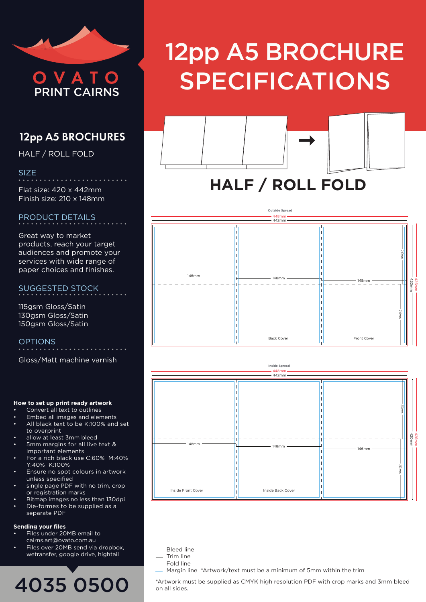

# 12pp A5 BROCHURES

HALF / ROLL FOLD

### SIZE

Flat size: 420 x 442mm Finish size: 210 x 148mm

### PRODUCT DETAILS

Great way to market products, reach your target audiences and promote your services with wide range of paper choices and finishes.

# SUGGESTED STOCK

115gsm Gloss/Satin 130gsm Gloss/Satin 150gsm Gloss/Satin

### OPTIONS

Gloss/Matt machine varnish

#### **How to set up print ready artwork**

- Convert all text to outlines
- Embed all images and elements
- All black text to be K:100% and set to overprint
- allow at least 3mm bleed
- 5mm margins for all live text & important elements
- For a rich black use C:60% M:40% Y:40% K:100%
- Ensure no spot colours in artwork unless specified
- single page PDF with no trim, crop or registration marks
- Bitmap images no less than 130dpi Die-formes to be supplied as a
- separate PDF

#### **Sending your files**

- Files under 20MB email to cairns.art@ovato.com.au
- Files over 20MB send via dropbox, wetransfer, google drive, hightail

# 4035 0500

# 12pp A5 BROCHURE OVATO SPECIFICATIONS



# **HALF / ROLL FOLD**





- Bleed line
- Trim line
- Fold line
	- Margin line \*Artwork/text must be a minimum of 5mm within the trim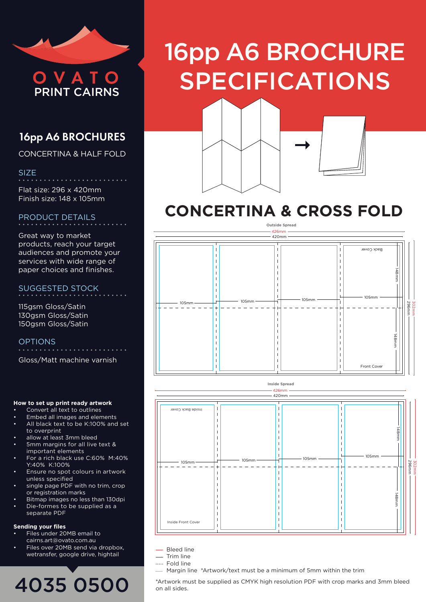

# 16pp A6 BROCHURES

CONCERTINA & HALF FOLD

SIZE

Flat size: 296 x 420mm Finish size: 148 x 105mm

### PRODUCT DETAILS

Great way to market products, reach your target audiences and promote your services with wide range of paper choices and finishes.

SUGGESTED STOCK

115gsm Gloss/Satin 130gsm Gloss/Satin 150gsm Gloss/Satin

OPTIONS

Gloss/Matt machine varnish

#### **How to set up print ready artwork**

- Convert all text to outlines
- Embed all images and elements
- All black text to be K:100% and set to overprint
- allow at least 3mm bleed
- 5mm margins for all live text & important elements
- For a rich black use C:60% M:40% Y:40% K:100%
- Ensure no spot colours in artwork unless specified
- single page PDF with no trim, crop or registration marks
- Bitmap images no less than 130dpi Die-formes to be supplied as a
- separate PDF

#### **Sending your files**

- Files under 20MB email to cairns.art@ovato.com.au
- Files over 20MB send via dropbox, wetransfer, google drive, hightail

# 4035 0500

# 16pp A6 BROCHURE OVATO SPECIFICATIONS



# **CONCERTINA & CROSS FOLD**





- Bleed line
- Trim line
- Fold line
	- Margin line \*Artwork/text must be a minimum of 5mm within the trim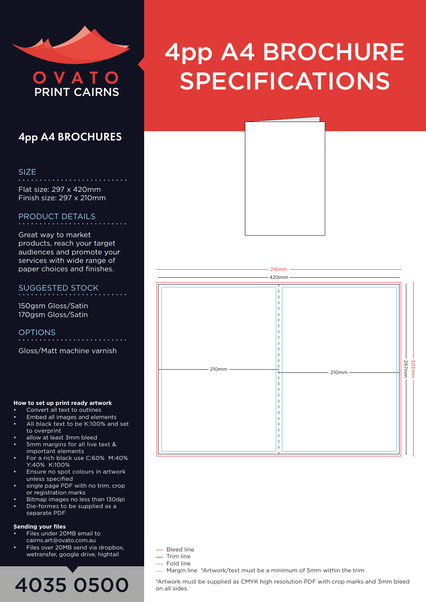

# 4pp A4 BROCHURES

#### SIZE

Flat size: 297 x 420mm Finish size: 297 x 210mm

### PRODUCT DETAILS

Great way to market products, reach your target audiences and promote your services with wide range of paper choices and finishes.

## SUGGESTED STOCK

150gsm Gloss/Satin 170gsm Gloss/Satin

OPTIONS

Gloss/Matt machine varnish

#### **How to set up print ready artwork**

- Convert all text to outlines
- Embed all images and elements • All black text to be K:100% and set
- to overprint
- allow at least 3mm bleed
- 5mm margins for all live text & important elements
- For a rich black use C:60% M:40% Y:40% K:100%
- Ensure no spot colours in artwork unless specified
- single page PDF with no trim, crop or registration marks
- Bitmap images no less than 130dpi • Die-formes to be supplied as a separate PDF

### **Sending your files**

- Files under 20MB email to cairns.art@ovato.com.au
- Files over 20MB send via dropbox, wetransfer, google drive, hightail

# 4035 0500

# 4pp A4 BROCHURE OVATO SPECIFICATIONS



# 216mm 420mm  $\mathbf{I}$  $\mathbf{I}$  $\mathbf{I}$ 297m m 303m m 210mm 210mm  $\mathbf{I}$  $\mathbf{I}$  $\overline{1}$

- Bleed line
- Trim line
- ..... Fold line
	- Margin line \*Artwork/text must be a minimum of 5mm within the trim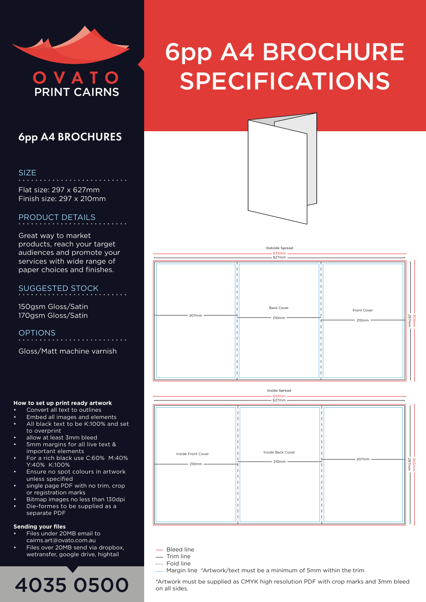# 6pp A4 BROCHURES

### SIZE

Flat size: 297 x 627mm Finish size: 297 x 210mm

## PRODUCT DETAILS

Great way to market products, reach your target audiences and promote your services with wide range of paper choices and finishes.

SUGGESTED STOCK

150gsm Gloss/Satin 170gsm Gloss/Satin

OPTIONS

Gloss/Matt machine varnish

### **How to set up print ready artwork**

- Convert all text to outlines
- Embed all images and elements
- All black text to be K:100% and set to overprint
- allow at least 3mm bleed
- 5mm margins for all live text & important elements
- For a rich black use C:60% M:40% Y:40% K:100%
- Ensure no spot colours in artwork unless specified
- single page PDF with no trim, crop or registration marks
- Bitmap images no less than 130dpi • Die-formes to be supplied as a
- separate PDF

#### **Sending your files**

- Files under 20MB email to cairns.art@ovato.com.au
- Files over 20MB send via dropbox, wetransfer, google drive, hightail

# 4035 0500

# 6pp A4 BROCHURE OVATO SPECIFICATIONS



| Outside Spread<br>$633mm$ –<br><u> 1989 - Johann Stein, mars et al. (b. 1989)</u><br>627mm - |                                 |                                              |  |  |
|----------------------------------------------------------------------------------------------|---------------------------------|----------------------------------------------|--|--|
| $-207$ mm $-$                                                                                | <b>Back Cover</b><br>$-210mm -$ | Front Cover<br>50.3mm<br>297mm<br>$-210mm -$ |  |  |



- Bleed line
- Trim line
- Fold line
	- Margin line \*Artwork/text must be a minimum of 5mm within the trim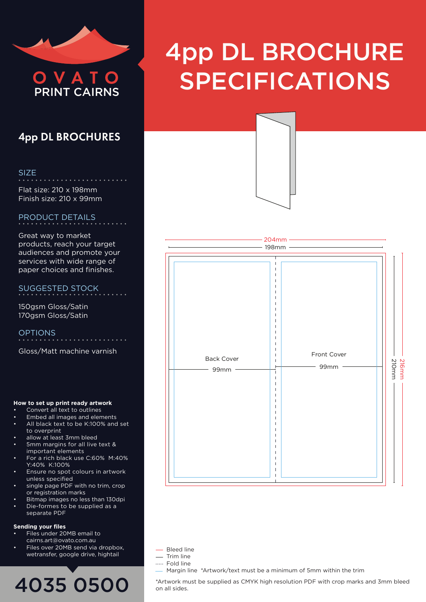### SIZE

Flat size: 210 x 198mm Finish size: 210 x 99mm

## PRODUCT DETAILS

Great way to market products, reach your target audiences and promote your services with wide range of paper choices and finishes.

SUGGESTED STOCK

150gsm Gloss/Satin 170gsm Gloss/Satin

OPTIONS

Gloss/Matt machine varnish

### **How to set up print ready artwork**

- Convert all text to outlines
- Embed all images and elements
- All black text to be K:100% and set to overprint
- allow at least 3mm bleed
- 5mm margins for all live text & important elements
- For a rich black use C:60% M:40% Y:40% K:100%
- Ensure no spot colours in artwork unless specified
- single page PDF with no trim, crop or registration marks
- Bitmap images no less than 130dpi • Die-formes to be supplied as a
- separate PDF

#### **Sending your files**

- Files under 20MB email to cairns.art@ovato.com.au
- Files over 20MB send via dropbox, wetransfer, google drive, hightail

# 4035 0500

# 4pp DL BROCHURE OVATO SPECIFICATIONS





- Bleed line
- Trim line
- ..... Fold line
	- Margin line \*Artwork/text must be a minimum of 5mm within the trim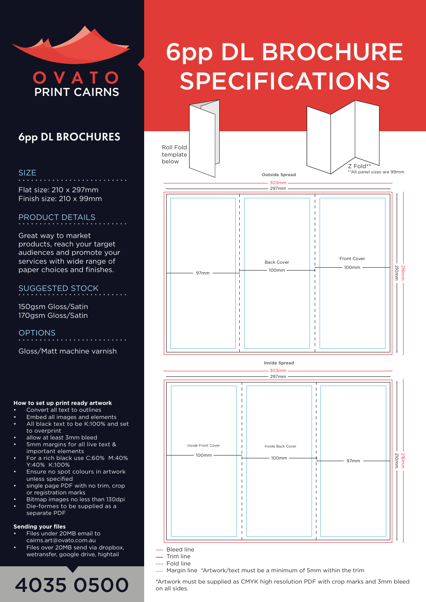

### SIZE

Flat size: 210 x 297mm Finish size: 210 x 99mm

## PRODUCT DETAILS

Great way to market products, reach your target audiences and promote your services with wide range of paper choices and finishes.

SUGGESTED STOCK

150gsm Gloss/Satin 170gsm Gloss/Satin

OPTIONS

Gloss/Matt machine varnish

#### **How to set up print ready artwork**

- Convert all text to outlines
- Embed all images and elements • All black text to be K:100% and set
- to overprint
- allow at least 3mm bleed
- 5mm margins for all live text & important elements
- For a rich black use C:60% M:40% Y:40% K:100%
- Ensure no spot colours in artwork unless specified
- single page PDF with no trim, crop or registration marks
- Bitmap images no less than 130dpi Die-formes to be supplied as a
- separate PDF

#### **Sending your files**

- Files under 20MB email to cairns.art@ovato.com.au
- Files over 20MB send via dropbox, wetransfer, google drive, hightail

# 4035 0500

# 6pp DL BROCHURE OVATO SPECIFICATIONS



- Bleed line
- Trim line
- Fold line
	- Margin line \*Artwork/text must be a minimum of 5mm within the trim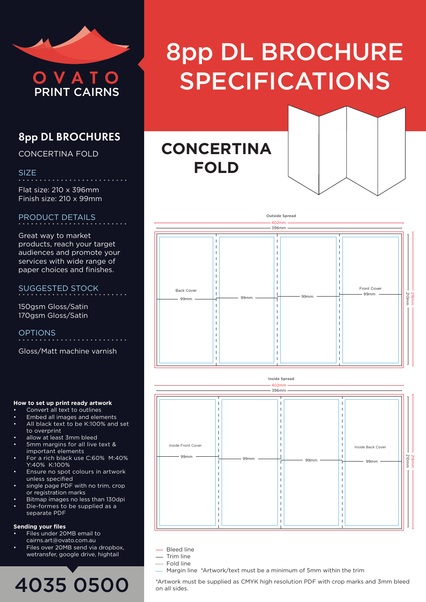

### CONCERTINA FOLD

SIZE

Flat size: 210 x 396mm Finish size: 210 x 99mm

## PRODUCT DETAILS

Great way to market products, reach your target audiences and promote your services with wide range of paper choices and finishes.

SUGGESTED STOCK

150gsm Gloss/Satin 170gsm Gloss/Satin

OPTIONS

Gloss/Matt machine varnish

#### **How to set up print ready artwork**

- Convert all text to outlines
- Embed all images and elements • All black text to be K:100% and set
- to overprint
- allow at least 3mm bleed
- 5mm margins for all live text & important elements
- For a rich black use C:60% M:40% Y:40% K:100%
- Ensure no spot colours in artwork unless specified
- single page PDF with no trim, crop or registration marks
- Bitmap images no less than 130dpi Die-formes to be supplied as a
- separate PDF

#### **Sending your files**

- Files under 20MB email to cairns.art@ovato.com.au
- Files over 20MB send via dropbox, wetransfer, google drive, hightail

# 4035 0500

# 8pp DL BROCHURE OVATO SPECIFICATIONS

# **CONCERTINA FOLD**





|                                | Inside Spread<br>$-402$ mm $-$<br>$-396$ mm $-$ |  |                                                                |  |  |  |
|--------------------------------|-------------------------------------------------|--|----------------------------------------------------------------|--|--|--|
| Inside Front Cover<br>- 99mm - | - 99mm                                          |  | Inside Back Cover<br>Zibmm<br>210mm<br>99mm ·<br>ĥ<br>- 99mm · |  |  |  |

- Bleed line
- Trim line
- Fold line
	- Margin line \*Artwork/text must be a minimum of 5mm within the trim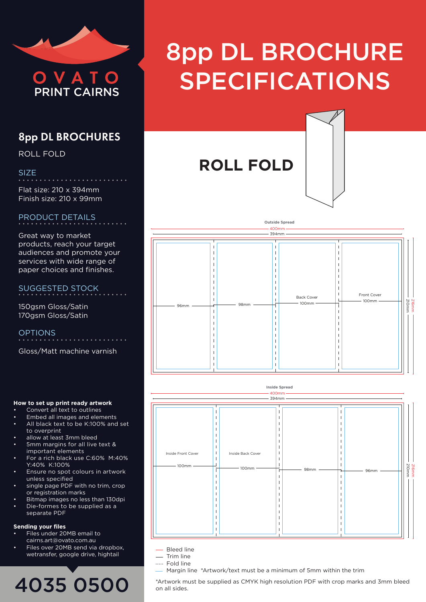

ROLL FOLD

### SIZE

Flat size: 210 x 394mm Finish size: 210 x 99mm

## PRODUCT DETAILS

Great way to market products, reach your target audiences and promote your services with wide range of paper choices and finishes.

SUGGESTED STOCK

150gsm Gloss/Satin 170gsm Gloss/Satin

OPTIONS

Gloss/Matt machine varnish

### **How to set up print ready artwork**

- Convert all text to outlines
- Embed all images and elements • All black text to be K:100% and set
- to overprint
- allow at least 3mm bleed
- 5mm margins for all live text & important elements
- For a rich black use C:60% M:40% Y:40% K:100%
- Ensure no spot colours in artwork unless specified
- single page PDF with no trim, crop or registration marks
- Bitmap images no less than 130dpi • Die-formes to be supplied as a
- separate PDF

#### **Sending your files**

- Files under 20MB email to cairns.art@ovato.com.au
- Files over 20MB send via dropbox, wetransfer, google drive, hightail

# 4035 0500

# 8pp DL BROCHURE OVATO SPECIFICATIONS





216mm

|        |      | and abread<br>400mm-<br>394mm - |                       |                                |
|--------|------|---------------------------------|-----------------------|--------------------------------|
| 96mm · | 98mm |                                 | Back Cover<br>- 100mm | Front Cover<br>ZID mm<br>100mm |

**Outside Spread**

**Inside Spread** 400mm 394mm Inside Front Cover | | | Inside Back Cover  $\mathbf{I}$  $\mathbf{I}$ 210mm 216mm 100mm 100mm 98mm 96mm  $\overline{1}$  $\blacksquare$  $\overline{1}$  $\mathbf{I}$  $\mathbf{I}$  $\overline{1}$  $\mathbf{I}$  $\overline{1}$ 

- Bleed line
- Trim line
- ..... Fold line
	- Margin line \*Artwork/text must be a minimum of 5mm within the trim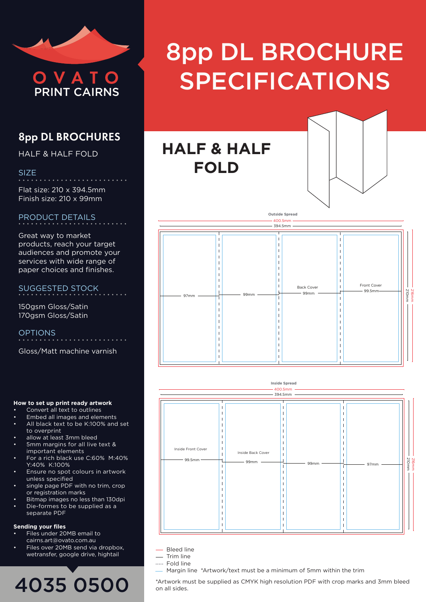

### HALF & HALF FOLD

SIZE

Flat size: 210 x 394.5mm Finish size: 210 x 99mm

## PRODUCT DETAILS

Great way to market products, reach your target audiences and promote your services with wide range of paper choices and finishes.

SUGGESTED STOCK

150gsm Gloss/Satin 170gsm Gloss/Satin

OPTIONS

Gloss/Matt machine varnish

#### **How to set up print ready artwork**

- Convert all text to outlines
- Embed all images and elements • All black text to be K:100% and set
- to overprint
- allow at least 3mm bleed
- 5mm margins for all live text & important elements
- For a rich black use C:60% M:40% Y:40% K:100%
- Ensure no spot colours in artwork unless specified
- single page PDF with no trim, crop or registration marks
- Bitmap images no less than 130dpi • Die-formes to be supplied as a
- separate PDF

#### **Sending your files**

- Files under 20MB email to cairns.art@ovato.com.au
- Files over 20MB send via dropbox, wetransfer, google drive, hightail

# 4035 0500

# 8pp DL BROCHURE OVATO SPECIFICATIONS

**HALF & HALF FOLD**





| <b>Inside Spread</b><br>$-400.5$ mm $-$<br>the contract of the contract of the contract of the contract of the<br>$-394.5$ mm $-$ |        |                          |  |  |  |
|-----------------------------------------------------------------------------------------------------------------------------------|--------|--------------------------|--|--|--|
| Inside Front Cover<br>Inside Back Cover<br>99.5mm -<br>99mm                                                                       | 99mm · | Zlbmm<br>210mm<br>97mm - |  |  |  |

Bleed line

Trim line

Fold line

Margin line \*Artwork/text must be a minimum of 5mm within the trim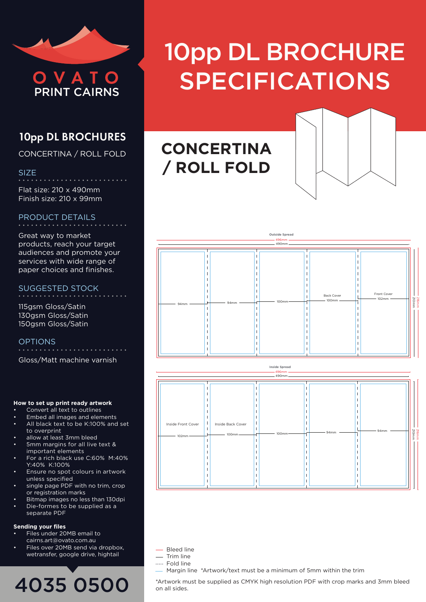

CONCERTINA / ROLL FOLD

SIZE

Flat size: 210 x 490mm Finish size: 210 x 99mm

### PRODUCT DETAILS

Great way to market products, reach your target audiences and promote your services with wide range of paper choices and finishes.

SUGGESTED STOCK

115gsm Gloss/Satin 130gsm Gloss/Satin 150gsm Gloss/Satin

### OPTIONS

Gloss/Matt machine varnish

#### **How to set up print ready artwork**

- Convert all text to outlines
- Embed all images and elements
- All black text to be K:100% and set to overprint
- allow at least 3mm bleed
- 5mm margins for all live text & important elements
- For a rich black use C:60% M:40% Y:40% K:100%
- Ensure no spot colours in artwork unless specified
- single page PDF with no trim, crop or registration marks
- Bitmap images no less than 130dpi • Die-formes to be supplied as a
- separate PDF

#### **Sending your files**

- Files under 20MB email to cairns.art@ovato.com.au
- Files over 20MB send via dropbox, wetransfer, google drive, hightail

# 4035 0500

# 10pp DL BROCHURE OVATO SPECIFICATIONS

# **CONCERTINA / ROLL FOLD**





|                               | <b>Inside Spread</b><br>$-496$ mm $-$<br>490mm- |        |      |                        |  |
|-------------------------------|-------------------------------------------------|--------|------|------------------------|--|
| Inside Front Cover<br>102mm - | Inside Back Cover<br>$100mm -$                  | 100mm- | 94mm | 216mm<br>210mm<br>94mm |  |

- Bleed line
- Trim line
- Fold line
	- Margin line \*Artwork/text must be a minimum of 5mm within the trim